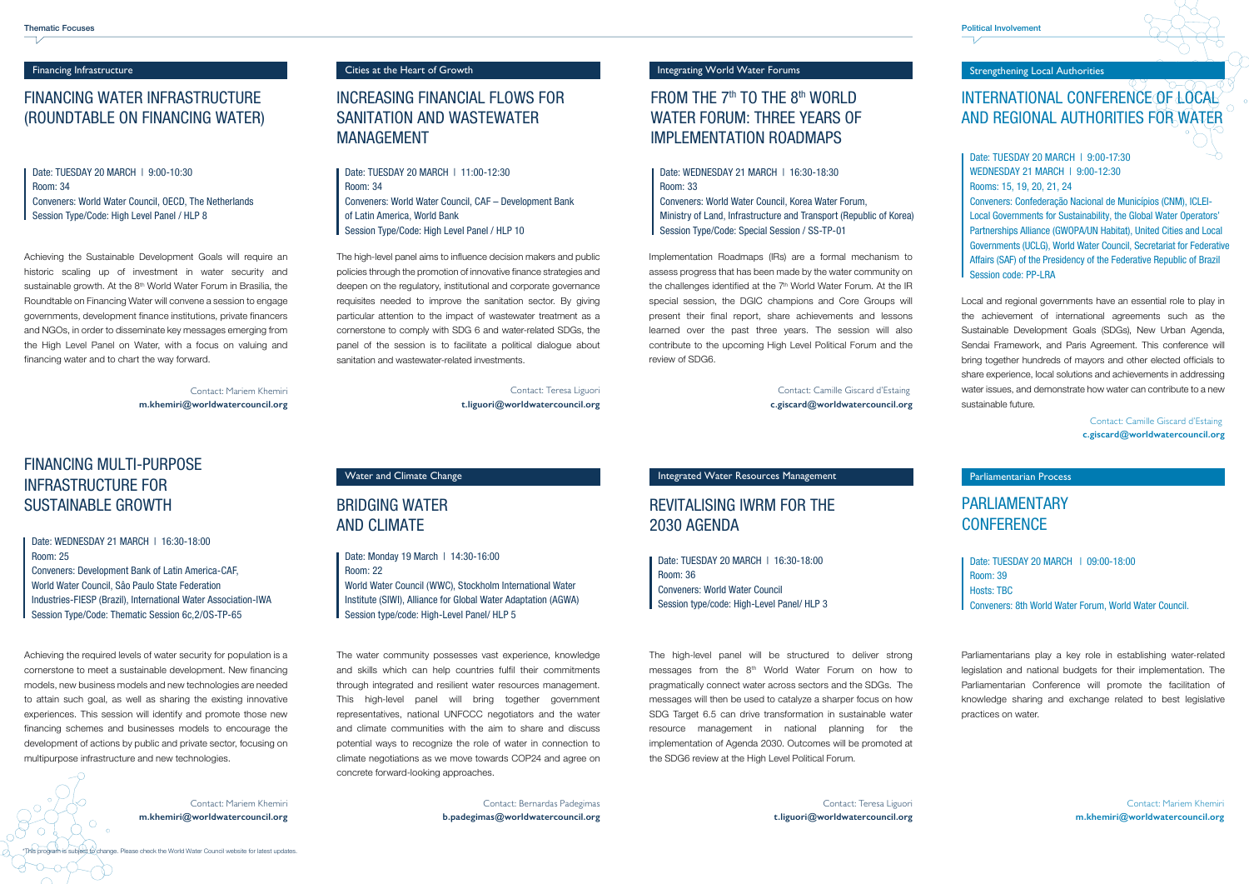# REVITALISING IWRM FOR THE 2030 AGENDA

The high-level panel will be structured to deliver strong messages from the 8<sup>th</sup> World Water Forum on how to pragmatically connect water across sectors and the SDGs. The messages will then be used to catalyze a sharper focus on how SDG Target 6.5 can drive transformation in sustainable water resource management in national planning for the implementation of Agenda 2030. Outcomes will be promoted at the SDG6 review at the High Level Political Forum.

## BRIDGING WATERAND CLIMATE

The water community possesses vast experience, knowledge and skills which can help countries fulfil their commitments through integrated and resilient water resources management. This high-level panel will bring together government representatives, national UNFCCC negotiators and the water and climate communities with the aim to share and discuss potential ways to recognize the role of water in connection to climate negotiations as we move towards COP24 and agree on concrete forward-looking approaches.

> Contact: Bernardas Padegimas **b.padegimas@worldwatercouncil.org**

Financing Infrastructure **Cities at the Heart of Growth** Integrating World Water Forums **Integrating World Water Forums** 

## FINANCING WATER INFRASTRUCTURE(ROUNDTABLE ON FINANCING WATER)

## FROM THE  $7<sup>th</sup>$  TO THE  $8<sup>th</sup>$  WORLD WATER FORUM: THREE YEARS OFIMPLEMENTATION ROADMAPS

Achieving the Sustainable Development Goals will require an historic scaling up of investment in water security and sustainable growth. At the 8<sup>th</sup> World Water Forum in Brasilia, the Roundtable on Financing Water will convene a session to engage governments, development finance institutions, private financers and NGOs, in order to disseminate key messages emerging from the High Level Panel on Water, with a focus on valuing and financing water and to chart the way forward.

## FINANCING MULTI-PURPOSE INFRASTRUCTURE FORSUSTAINABLE GROWTH

Date: TUESDAY 20 MARCH | 9:00-10:30 Room: Conveners: World Water Council, OECD, The Netherlands Session Type/Code: High Level Panel / HLP 8

Date: TUESDAY 20 MARCH | 11:00-12:30 Room: Conveners: World Water Council, CAF – Development Bank of Latin America, World BankSession Type/Code: High Level Panel / HLP 10

Achieving the required levels of water security for population is a cornerstone to meet a sustainable development. New financing models, new business models and new technologies are needed to attain such goal, as well as sharing the existing innovative experiences. This session will identify and promote those new financing schemes and businesses models to encourage the development of actions by public and private sector, focusing on multipurpose infrastructure and new technologies.

Date: Monday 19 March | 14:30-16:00 Room: 22 World Water Council (WWC), Stockholm International Water Institute (SIWI), Alliance for Global Water Adaptation (AGWA) Session type/code: High-Level Panel/ HLP 5

Date: TUESDAY 20 MARCH | 16:30-18:00Room: Conveners: World Water Council Session type/code: High-Level Panel/ HLP 3

Contact: Camille Giscard d'Estaing **c.giscard@worldwatercouncil.org**

Implementation Roadmaps (IRs) are a formal mechanism to assess progress that has been made by the water community on the challenges identified at the  $7<sup>th</sup>$  World Water Forum. At the IR special session, the DGIC champions and Core Groups will present their final report, share achievements and lessons learned over the past three years. The session will also contribute to the upcoming High Level Political Forum and the review of SDG6.

Date: TUESDAY 20 MARCH | 9:00-17:30WEDNESDAY 21 MARCH | 9:00-12:30 Rooms: 15, 19, 20, 21, 24

Conveners: Confederação Nacional de Municípios (CNM), ICLEI-Local Governments for Sustainability, the Global Water Operators' Partnerships Alliance (GWOPA/UN Habitat), United Cities and Local Governments (UCLG), World Water Council, Secretariat for Federative Affairs (SAF) of the Presidency of the Federative Republic of Brazil Session code: PP-LRA

# INCREASING FINANCIAL FLOWS FOR SANITATION AND WASTEWATERMANAGEMENT

Contact: Teresa Liguori **t.liguori@worldwatercouncil.org**

The high-level panel aims to influence decision makers and public policies through the promotion of innovative finance strategies and deepen on the regulatory, institutional and corporate governance requisites needed to improve the sanitation sector. By giving particular attention to the impact of wastewater treatment as a cornerstone to comply with SDG 6 and water-related SDGs, the panel of the session is to facilitate a political dialogue about sanitation and wastewater-related investments.

Contact: Mariem Khemiri**m.khemiri@worldwatercouncil.org**

Date: WEDNESDAY 21 MARCH | 16:30-18:30 Room:

Conveners: World Water Council, Korea Water Forum, Ministry of Land, Infrastructure and Transport (Republic of Korea) Session Type/Code: Special Session / SS-TP-01

Date: WEDNESDAY 21 MARCH | 16:30-18:00Room: Conveners: Development Bank of Latin America-CAF, World Water Council, Sâo Paulo State Federation Industries-FIESP (Brazil), International Water Association-IWA

Session Type/Code: Thematic Session 6c,2/OS-TP-65

### Water and Climate Change Integrated Water Resources Management

Strengthening Local Authorities

# INTERNATIONAL CONFERENCE OF  $\mathsf{LOCAL}$ AND REGIONAL AUTHORITIES FOR WATER

Local and regional governments have an essential role to play in the achievement of international agreements such as the Sustainable Development Goals (SDGs), New Urban Agenda, Sendai Framework, and Paris Agreement. This conference will bring together hundreds of mayors and other elected officials to share experience, local solutions and achievements in addressing water issues, and demonstrate how water can contribute to a new sustainable future.

> Contact: Camille Giscard d'Estaing **c.giscard@worldwatercouncil.org**

Parliamentarian Process

# PARI IAMENTARY **CONFERENCE**

Parliamentarians play a key role in establishing water-related legislation and national budgets for their implementation. The Parliamentarian Conference will promote the facilitation of knowledge sharing and exchange related to best legislative practices on water.

Date: TUESDAY 20 MARCH | 09:00-18:00 $Room: 39$ Hosts: TBCConveners: 8th World Water Forum, World Water Council.

Contact: Mariem Khemiri**m.khemiri@worldwatercouncil.org**